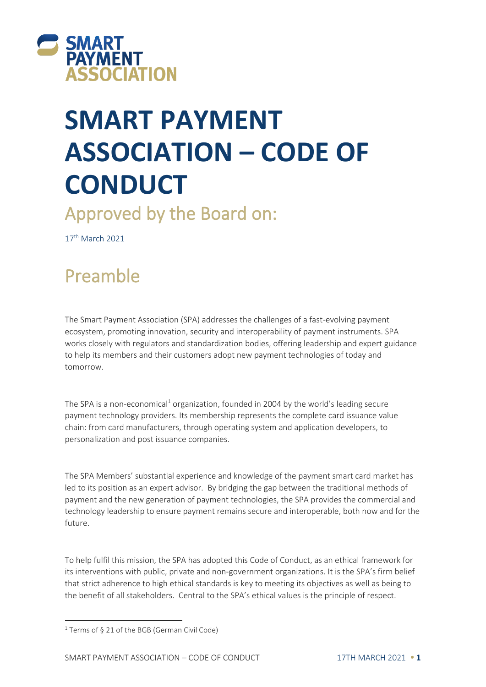

# **SMART PAYMENT ASSOCIATION – CODE OF CONDUCT**

Approved by the Board on:

17<sup>th</sup> March 2021

## Preamble

The Smart Payment Association (SPA) addresses the challenges of a fast-evolving payment ecosystem, promoting innovation, security and interoperability of payment instruments. SPA works closely with regulators and standardization bodies, offering leadership and expert guidance to help its members and their customers adopt new payment technologies of today and tomorrow.

The SPA is a non-economical<sup>1</sup> organization, founded in 2004 by the world's leading secure payment technology providers. Its membership represents the complete card issuance value chain: from card manufacturers, through operating system and application developers, to personalization and post issuance companies.

The SPA Members' substantial experience and knowledge of the payment smart card market has led to its position as an expert advisor. By bridging the gap between the traditional methods of payment and the new generation of payment technologies, the SPA provides the commercial and technology leadership to ensure payment remains secure and interoperable, both now and for the future.

To help fulfil this mission, the SPA has adopted this Code of Conduct, as an ethical framework for its interventions with public, private and non-government organizations. It is the SPA's firm belief that strict adherence to high ethical standards is key to meeting its objectives as well as being to the benefit of all stakeholders. Central to the SPA's ethical values is the principle of respect.

<sup>&</sup>lt;sup>1</sup> Terms of § 21 of the BGB (German Civil Code)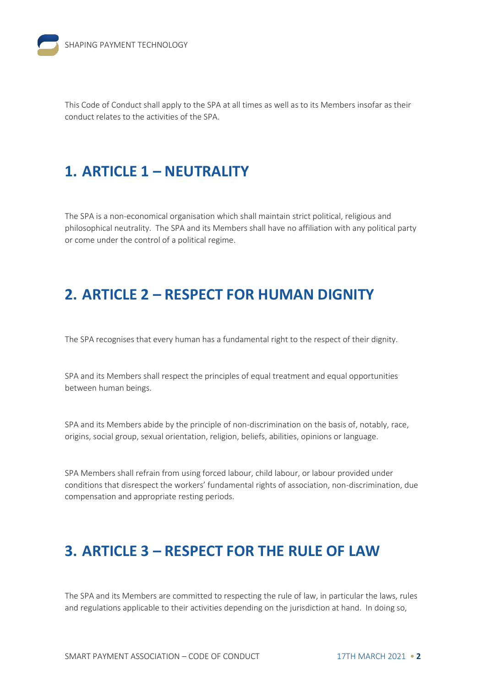This Code of Conduct shall apply to the SPA at all times as well as to its Members insofar as their conduct relates to the activities of the SPA.

#### **1. ARTICLE 1 – NEUTRALITY**

The SPA is a non-economical organisation which shall maintain strict political, religious and philosophical neutrality. The SPA and its Members shall have no affiliation with any political party or come under the control of a political regime.

#### **2. ARTICLE 2 – RESPECT FOR HUMAN DIGNITY**

The SPA recognises that every human has a fundamental right to the respect of their dignity.

SPA and its Members shall respect the principles of equal treatment and equal opportunities between human beings.

SPA and its Members abide by the principle of non-discrimination on the basis of, notably, race, origins, social group, sexual orientation, religion, beliefs, abilities, opinions or language.

SPA Members shall refrain from using forced labour, child labour, or labour provided under conditions that disrespect the workers' fundamental rights of association, non-discrimination, due compensation and appropriate resting periods.

#### **3. ARTICLE 3 – RESPECT FOR THE RULE OF LAW**

The SPA and its Members are committed to respecting the rule of law, in particular the laws, rules and regulations applicable to their activities depending on the jurisdiction at hand. In doing so,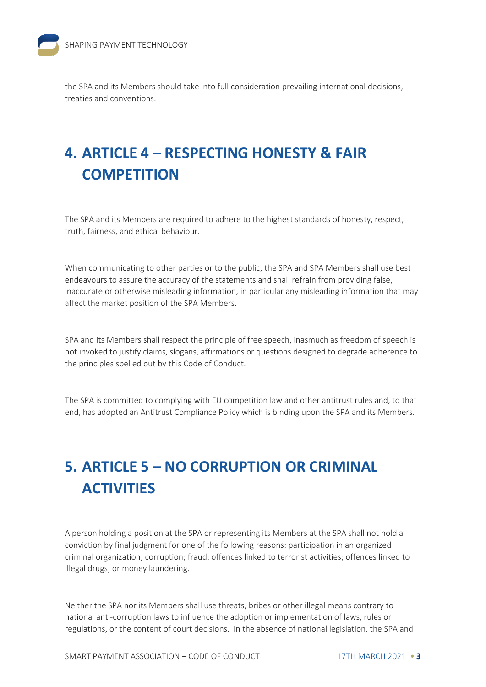the SPA and its Members should take into full consideration prevailing international decisions, treaties and conventions.

## **4. ARTICLE 4 – RESPECTING HONESTY & FAIR COMPETITION**

The SPA and its Members are required to adhere to the highest standards of honesty, respect, truth, fairness, and ethical behaviour.

When communicating to other parties or to the public, the SPA and SPA Members shall use best endeavours to assure the accuracy of the statements and shall refrain from providing false, inaccurate or otherwise misleading information, in particular any misleading information that may affect the market position of the SPA Members.

SPA and its Members shall respect the principle of free speech, inasmuch as freedom of speech is not invoked to justify claims, slogans, affirmations or questions designed to degrade adherence to the principles spelled out by this Code of Conduct.

The SPA is committed to complying with EU competition law and other antitrust rules and, to that end, has adopted an Antitrust Compliance Policy which is binding upon the SPA and its Members.

## **5. ARTICLE 5 – NO CORRUPTION OR CRIMINAL ACTIVITIES**

A person holding a position at the SPA or representing its Members at the SPA shall not hold a conviction by final judgment for one of the following reasons: participation in an organized criminal organization; corruption; fraud; offences linked to terrorist activities; offences linked to illegal drugs; or money laundering.

Neither the SPA nor its Members shall use threats, bribes or other illegal means contrary to national anti-corruption laws to influence the adoption or implementation of laws, rules or regulations, or the content of court decisions. In the absence of national legislation, the SPA and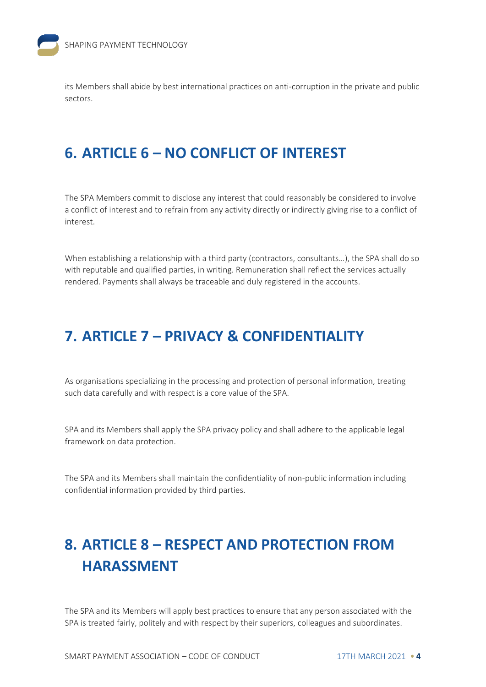its Members shall abide by best international practices on anti-corruption in the private and public sectors.

#### **6. ARTICLE 6 – NO CONFLICT OF INTEREST**

The SPA Members commit to disclose any interest that could reasonably be considered to involve a conflict of interest and to refrain from any activity directly or indirectly giving rise to a conflict of interest.

When establishing a relationship with a third party (contractors, consultants…), the SPA shall do so with reputable and qualified parties, in writing. Remuneration shall reflect the services actually rendered. Payments shall always be traceable and duly registered in the accounts.

#### **7. ARTICLE 7 – PRIVACY & CONFIDENTIALITY**

As organisations specializing in the processing and protection of personal information, treating such data carefully and with respect is a core value of the SPA.

SPA and its Members shall apply the SPA privacy policy and shall adhere to the applicable legal framework on data protection.

The SPA and its Members shall maintain the confidentiality of non-public information including confidential information provided by third parties.

### **8. ARTICLE 8 – RESPECT AND PROTECTION FROM HARASSMENT**

The SPA and its Members will apply best practices to ensure that any person associated with the SPA is treated fairly, politely and with respect by their superiors, colleagues and subordinates.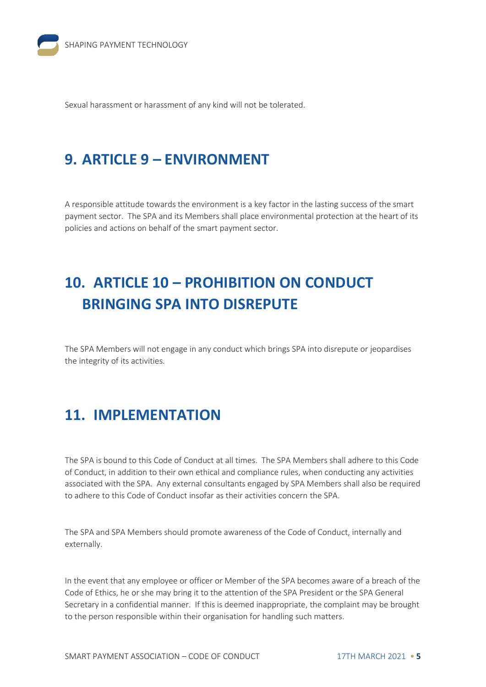Sexual harassment or harassment of any kind will not be tolerated.

#### **9. ARTICLE 9 – ENVIRONMENT**

A responsible attitude towards the environment is a key factor in the lasting success of the smart payment sector. The SPA and its Members shall place environmental protection at the heart of its policies and actions on behalf of the smart payment sector.

## **10. ARTICLE 10 – PROHIBITION ON CONDUCT BRINGING SPA INTO DISREPUTE**

The SPA Members will not engage in any conduct which brings SPA into disrepute or jeopardises the integrity of its activities.

#### **11. IMPLEMENTATION**

The SPA is bound to this Code of Conduct at all times. The SPA Members shall adhere to this Code of Conduct, in addition to their own ethical and compliance rules, when conducting any activities associated with the SPA. Any external consultants engaged by SPA Members shall also be required to adhere to this Code of Conduct insofar as their activities concern the SPA.

The SPA and SPA Members should promote awareness of the Code of Conduct, internally and externally.

In the event that any employee or officer or Member of the SPA becomes aware of a breach of the Code of Ethics, he or she may bring it to the attention of the SPA President or the SPA General Secretary in a confidential manner. If this is deemed inappropriate, the complaint may be brought to the person responsible within their organisation for handling such matters.